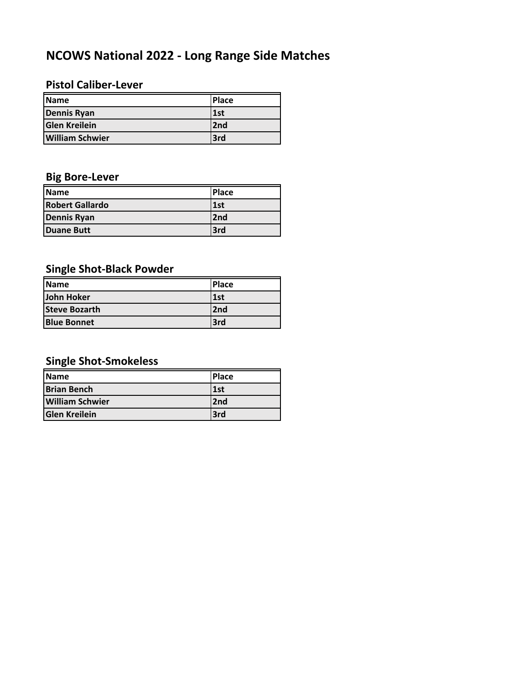# **NCOWS National 2022 ‐ Long Range Side Matches**

#### **Pistol Caliber‐Lever**

| <b>IName</b>           | <b>Place</b> |
|------------------------|--------------|
| <b>Dennis Ryan</b>     | 1st          |
| <b>Glen Kreilein</b>   | 2nd          |
| <b>William Schwier</b> | 3rd          |

### **Big Bore‐Lever**

| <b>IName</b>           | <b>IPlace</b> |
|------------------------|---------------|
| <b>Robert Gallardo</b> | l 1st         |
| <b>Dennis Ryan</b>     | 2nd           |
| Duane Butt             | <b>Brd</b>    |

### **Single Shot‐Black Powder**

| <b>IName</b>         | <b>IPlace</b> |
|----------------------|---------------|
| John Hoker           | l1st          |
| <b>Steve Bozarth</b> | 2nd           |
| <b>Blue Bonnet</b>   | 3rd           |

### **Single Shot‐Smokeless**

| <b>Name</b>            | Place |
|------------------------|-------|
| Brian Bench            | 1st   |
| <b>William Schwier</b> | 2nd   |
| <b>Glen Kreilein</b>   | 3rd   |